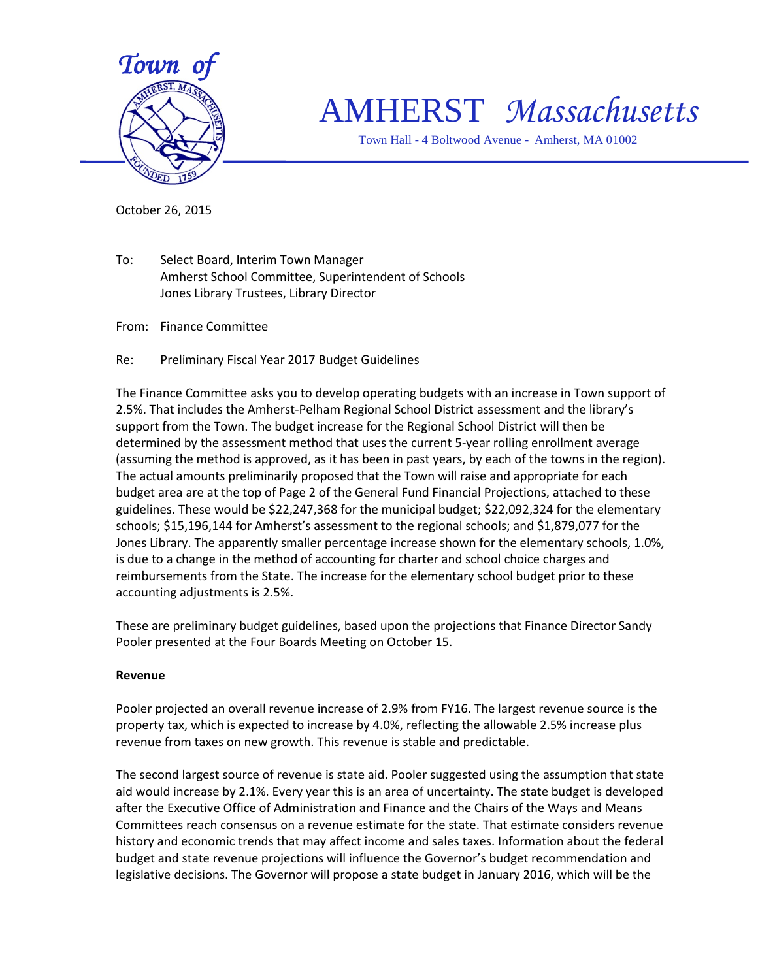

# AMHERST *Massachusetts*

Town Hall - 4 Boltwood Avenue - Amherst, MA 01002

October 26, 2015

To: Select Board, Interim Town Manager Amherst School Committee, Superintendent of Schools Jones Library Trustees, Library Director

From: Finance Committee

Re: Preliminary Fiscal Year 2017 Budget Guidelines

The Finance Committee asks you to develop operating budgets with an increase in Town support of 2.5%. That includes the Amherst-Pelham Regional School District assessment and the library's support from the Town. The budget increase for the Regional School District will then be determined by the assessment method that uses the current 5-year rolling enrollment average (assuming the method is approved, as it has been in past years, by each of the towns in the region). The actual amounts preliminarily proposed that the Town will raise and appropriate for each budget area are at the top of Page 2 of the General Fund Financial Projections, attached to these guidelines. These would be \$22,247,368 for the municipal budget; \$22,092,324 for the elementary schools; \$15,196,144 for Amherst's assessment to the regional schools; and \$1,879,077 for the Jones Library. The apparently smaller percentage increase shown for the elementary schools, 1.0%, is due to a change in the method of accounting for charter and school choice charges and reimbursements from the State. The increase for the elementary school budget prior to these accounting adjustments is 2.5%.

These are preliminary budget guidelines, based upon the projections that Finance Director Sandy Pooler presented at the Four Boards Meeting on October 15.

#### **Revenue**

Pooler projected an overall revenue increase of 2.9% from FY16. The largest revenue source is the property tax, which is expected to increase by 4.0%, reflecting the allowable 2.5% increase plus revenue from taxes on new growth. This revenue is stable and predictable.

The second largest source of revenue is state aid. Pooler suggested using the assumption that state aid would increase by 2.1%. Every year this is an area of uncertainty. The state budget is developed after the Executive Office of Administration and Finance and the Chairs of the Ways and Means Committees reach consensus on a revenue estimate for the state. That estimate considers revenue history and economic trends that may affect income and sales taxes. Information about the federal budget and state revenue projections will influence the Governor's budget recommendation and legislative decisions. The Governor will propose a state budget in January 2016, which will be the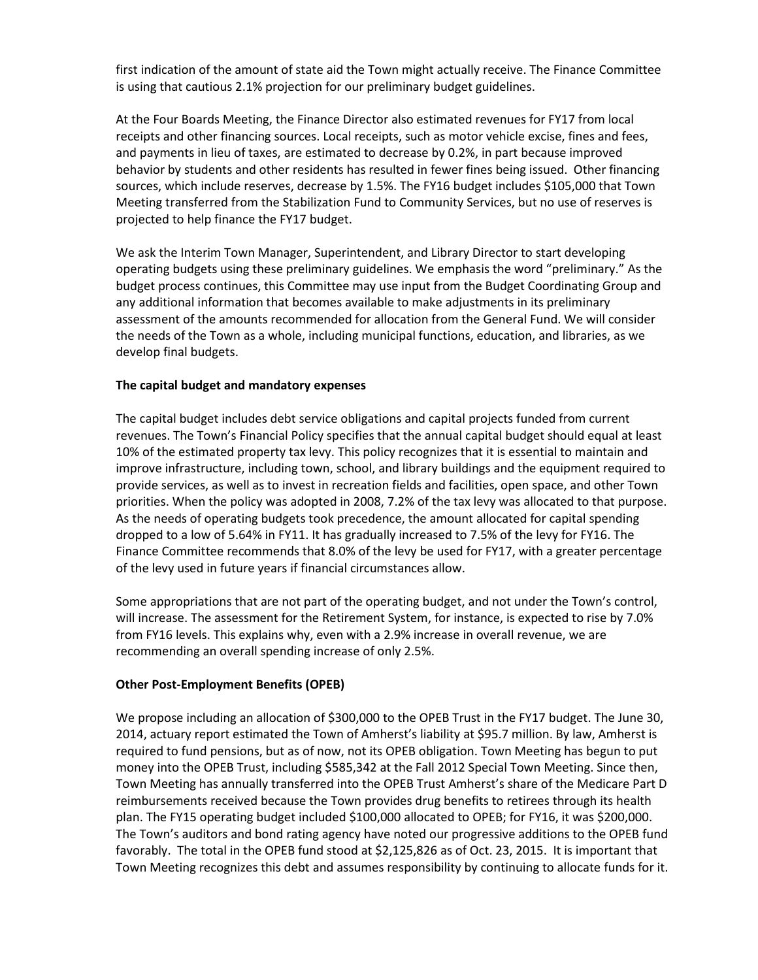first indication of the amount of state aid the Town might actually receive. The Finance Committee is using that cautious 2.1% projection for our preliminary budget guidelines.

At the Four Boards Meeting, the Finance Director also estimated revenues for FY17 from local receipts and other financing sources. Local receipts, such as motor vehicle excise, fines and fees, and payments in lieu of taxes, are estimated to decrease by 0.2%, in part because improved behavior by students and other residents has resulted in fewer fines being issued. Other financing sources, which include reserves, decrease by 1.5%. The FY16 budget includes \$105,000 that Town Meeting transferred from the Stabilization Fund to Community Services, but no use of reserves is projected to help finance the FY17 budget.

We ask the Interim Town Manager, Superintendent, and Library Director to start developing operating budgets using these preliminary guidelines. We emphasis the word "preliminary." As the budget process continues, this Committee may use input from the Budget Coordinating Group and any additional information that becomes available to make adjustments in its preliminary assessment of the amounts recommended for allocation from the General Fund. We will consider the needs of the Town as a whole, including municipal functions, education, and libraries, as we develop final budgets.

#### **The capital budget and mandatory expenses**

The capital budget includes debt service obligations and capital projects funded from current revenues. The Town's Financial Policy specifies that the annual capital budget should equal at least 10% of the estimated property tax levy. This policy recognizes that it is essential to maintain and improve infrastructure, including town, school, and library buildings and the equipment required to provide services, as well as to invest in recreation fields and facilities, open space, and other Town priorities. When the policy was adopted in 2008, 7.2% of the tax levy was allocated to that purpose. As the needs of operating budgets took precedence, the amount allocated for capital spending dropped to a low of 5.64% in FY11. It has gradually increased to 7.5% of the levy for FY16. The Finance Committee recommends that 8.0% of the levy be used for FY17, with a greater percentage of the levy used in future years if financial circumstances allow.

Some appropriations that are not part of the operating budget, and not under the Town's control, will increase. The assessment for the Retirement System, for instance, is expected to rise by 7.0% from FY16 levels. This explains why, even with a 2.9% increase in overall revenue, we are recommending an overall spending increase of only 2.5%.

## **Other Post-Employment Benefits (OPEB)**

We propose including an allocation of \$300,000 to the OPEB Trust in the FY17 budget. The June 30, 2014, actuary report estimated the Town of Amherst's liability at \$95.7 million. By law, Amherst is required to fund pensions, but as of now, not its OPEB obligation. Town Meeting has begun to put money into the OPEB Trust, including \$585,342 at the Fall 2012 Special Town Meeting. Since then, Town Meeting has annually transferred into the OPEB Trust Amherst's share of the Medicare Part D reimbursements received because the Town provides drug benefits to retirees through its health plan. The FY15 operating budget included \$100,000 allocated to OPEB; for FY16, it was \$200,000. The Town's auditors and bond rating agency have noted our progressive additions to the OPEB fund favorably. The total in the OPEB fund stood at \$2,125,826 as of Oct. 23, 2015. It is important that Town Meeting recognizes this debt and assumes responsibility by continuing to allocate funds for it.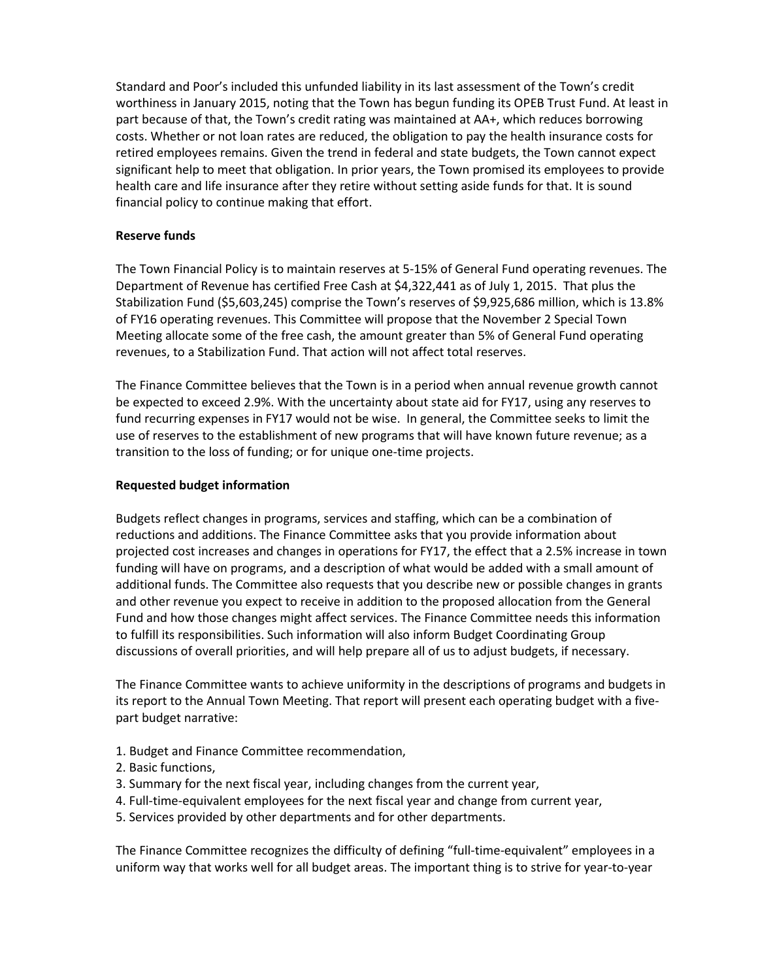Standard and Poor's included this unfunded liability in its last assessment of the Town's credit worthiness in January 2015, noting that the Town has begun funding its OPEB Trust Fund. At least in part because of that, the Town's credit rating was maintained at AA+, which reduces borrowing costs. Whether or not loan rates are reduced, the obligation to pay the health insurance costs for retired employees remains. Given the trend in federal and state budgets, the Town cannot expect significant help to meet that obligation. In prior years, the Town promised its employees to provide health care and life insurance after they retire without setting aside funds for that. It is sound financial policy to continue making that effort.

### **Reserve funds**

The Town Financial Policy is to maintain reserves at 5-15% of General Fund operating revenues. The Department of Revenue has certified Free Cash at \$4,322,441 as of July 1, 2015. That plus the Stabilization Fund (\$5,603,245) comprise the Town's reserves of \$9,925,686 million, which is 13.8% of FY16 operating revenues. This Committee will propose that the November 2 Special Town Meeting allocate some of the free cash, the amount greater than 5% of General Fund operating revenues, to a Stabilization Fund. That action will not affect total reserves.

The Finance Committee believes that the Town is in a period when annual revenue growth cannot be expected to exceed 2.9%. With the uncertainty about state aid for FY17, using any reserves to fund recurring expenses in FY17 would not be wise. In general, the Committee seeks to limit the use of reserves to the establishment of new programs that will have known future revenue; as a transition to the loss of funding; or for unique one-time projects.

### **Requested budget information**

Budgets reflect changes in programs, services and staffing, which can be a combination of reductions and additions. The Finance Committee asks that you provide information about projected cost increases and changes in operations for FY17, the effect that a 2.5% increase in town funding will have on programs, and a description of what would be added with a small amount of additional funds. The Committee also requests that you describe new or possible changes in grants and other revenue you expect to receive in addition to the proposed allocation from the General Fund and how those changes might affect services. The Finance Committee needs this information to fulfill its responsibilities. Such information will also inform Budget Coordinating Group discussions of overall priorities, and will help prepare all of us to adjust budgets, if necessary.

The Finance Committee wants to achieve uniformity in the descriptions of programs and budgets in its report to the Annual Town Meeting. That report will present each operating budget with a fivepart budget narrative:

- 1. Budget and Finance Committee recommendation,
- 2. Basic functions,
- 3. Summary for the next fiscal year, including changes from the current year,
- 4. Full-time-equivalent employees for the next fiscal year and change from current year,
- 5. Services provided by other departments and for other departments.

The Finance Committee recognizes the difficulty of defining "full-time-equivalent" employees in a uniform way that works well for all budget areas. The important thing is to strive for year-to-year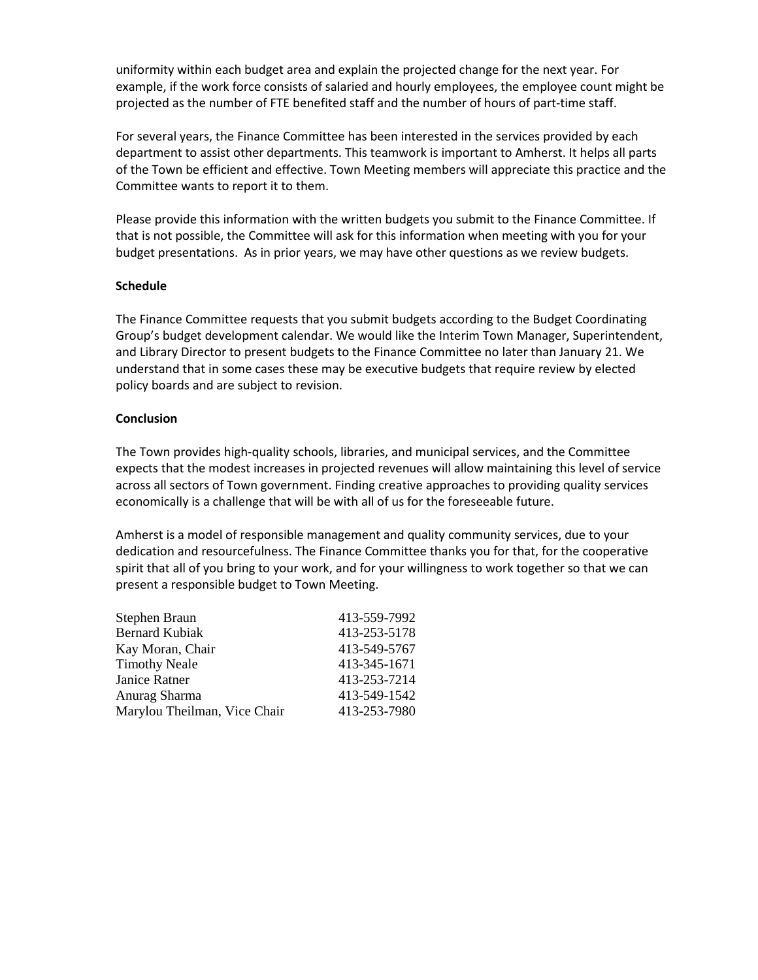uniformity within each budget area and explain the projected change for the next year. For example, if the work force consists of salaried and hourly employees, the employee count might be projected as the number of FTE benefited staff and the number of hours of part-time staff.

For several years, the Finance Committee has been interested in the services provided by each department to assist other departments. This teamwork is important to Amherst. It helps all parts of the Town be efficient and effective. Town Meeting members will appreciate this practice and the Committee wants to report it to them.

Please provide this information with the written budgets you submit to the Finance Committee. If that is not possible, the Committee will ask for this information when meeting with you for your budget presentations. As in prior years, we may have other questions as we review budgets.

#### **Schedule**

The Finance Committee requests that you submit budgets according to the Budget Coordinating Group's budget development calendar. We would like the Interim Town Manager, Superintendent, and Library Director to present budgets to the Finance Committee no later than January 21. We understand that in some cases these may be executive budgets that require review by elected policy boards and are subject to revision.

#### **Conclusion**

The Town provides high-quality schools, libraries, and municipal services, and the Committee expects that the modest increases in projected revenues will allow maintaining this level of service across all sectors of Town government. Finding creative approaches to providing quality services economically is a challenge that will be with all of us for the foreseeable future.

Amherst is a model of responsible management and quality community services, due to your dedication and resourcefulness. The Finance Committee thanks you for that, for the cooperative spirit that all of you bring to your work, and for your willingness to work together so that we can present a responsible budget to Town Meeting.

| Stephen Braun                | 413-559-7992 |
|------------------------------|--------------|
| <b>Bernard Kubiak</b>        | 413-253-5178 |
| Kay Moran, Chair             | 413-549-5767 |
| <b>Timothy Neale</b>         | 413-345-1671 |
| Janice Ratner                | 413-253-7214 |
| Anurag Sharma                | 413-549-1542 |
| Marylou Theilman, Vice Chair | 413-253-7980 |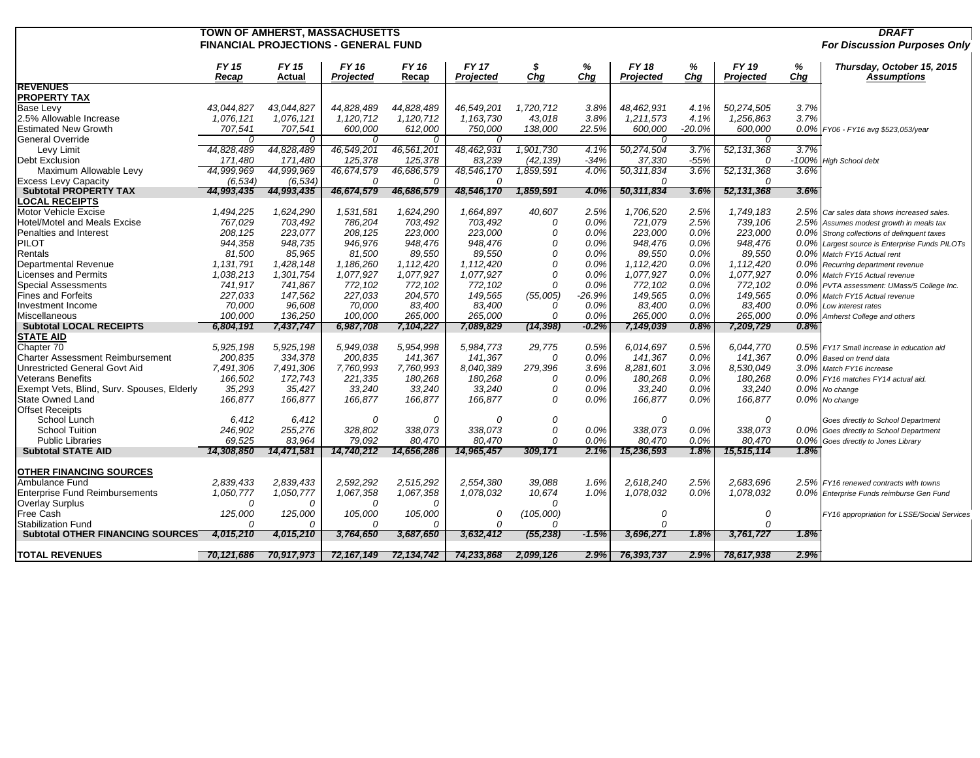|                                                                                      |            |                   |                  |              |                  |                |              |              |          |                                     |          | <b>DRAFT</b>                                                                  |
|--------------------------------------------------------------------------------------|------------|-------------------|------------------|--------------|------------------|----------------|--------------|--------------|----------|-------------------------------------|----------|-------------------------------------------------------------------------------|
| <b>TOWN OF AMHERST, MASSACHUSETTS</b><br><b>FINANCIAL PROJECTIONS - GENERAL FUND</b> |            |                   |                  |              |                  |                |              |              |          | <b>For Discussion Purposes Only</b> |          |                                                                               |
|                                                                                      |            |                   |                  |              |                  |                |              |              |          |                                     |          |                                                                               |
|                                                                                      | FY 15      | FY 15             | FY 16            | FY 16        | <b>FY 17</b>     | S              | %            | <b>FY 18</b> | %        | FY 19                               | %<br>Cha | Thursday, October 15, 2015                                                    |
| <b>REVENUES</b>                                                                      | Recap      | Actual            | <b>Projected</b> | Recap        | <b>Projected</b> | Cha            | Cha          | Projected    | Cha      | <b>Projected</b>                    |          | Assumptions                                                                   |
| <b>PROPERTY TAX</b>                                                                  |            |                   |                  |              |                  |                |              |              |          |                                     |          |                                                                               |
| <b>Base Levy</b>                                                                     | 43,044,827 | 43,044,827        | 44,828,489       | 44,828,489   | 46,549,201       | 1,720,712      | 3.8%         | 48,462,931   | 4.1%     | 50,274,505                          | 3.7%     |                                                                               |
| 2.5% Allowable Increase                                                              | 1,076,121  | 1,076,121         | 1,120,712        | 1,120,712    | 1,163,730        | 43,018         | 3.8%         | 1,211,573    | 4.1%     | 1,256,863                           | 3.7%     |                                                                               |
| <b>Estimated New Growth</b>                                                          | 707,541    | 707,541           | 600,000          | 612,000      | 750,000          | 138,000        | 22.5%        | 600,000      | $-20.0%$ | 600,000                             |          | 0.0% FY06 - FY16 avg \$523,053/year                                           |
| General Override                                                                     | $\Omega$   | 0                 | $\Omega$         | 0            | $\Omega$         |                |              | $\Omega$     |          | $\Omega$                            |          |                                                                               |
| Levy Limit                                                                           | 44,828,489 | 44,828,489        | 46,549,201       | 46,561,201   | 48,462,931       | 1,901,730      | 4.1%         | 50,274,504   | 3.7%     | 52,131,368                          | 3.7%     |                                                                               |
| <b>Debt Exclusion</b>                                                                | 171,480    | 171,480           | 125,378          | 125,378      | 83,239           | (42, 139)      | $-34%$       | 37,330       | $-55%$   | 0                                   |          | -100% High School debt                                                        |
| Maximum Allowable Levy                                                               | 44,999,969 | 44,999,969        | 46,674,579       | 46,686,579   | 48,546,170       | 1,859,591      | 4.0%         | 50,311,834   | 3.6%     | 52, 131, 368                        | 3.6%     |                                                                               |
| <b>Excess Levy Capacity</b>                                                          | (6, 534)   | (6, 534)          | $\Omega$         | $\Omega$     | 0                |                |              | 0            |          | 0                                   |          |                                                                               |
| <b>Subtotal PROPERTY TAX</b>                                                         | 44,993,435 | 44,993,435        | 46,674,579       | 46,686,579   | 48,546,170       | 1,859,591      | 4.0%         | 50,311,834   | 3.6%     | 52,131,368                          | 3.6%     |                                                                               |
| <b>LOCAL RECEIPTS</b>                                                                |            |                   |                  |              |                  |                |              |              |          |                                     |          |                                                                               |
| <b>Motor Vehicle Excise</b>                                                          | 1,494,225  | 1,624,290         | 1,531,581        | 1,624,290    | 1,664,897        | 40,607         | 2.5%         | 1,706,520    | 2.5%     | 1,749,183                           |          | 2.5% Car sales data shows increased sales.                                    |
| <b>Hotel/Motel and Meals Excise</b>                                                  | 767,029    | 703,492           | 786,204          | 703,492      | 703,492          | 0              | 0.0%         | 721,079      | 2.5%     | 739,106                             |          | 2.5% Assumes modest growth in meals tax                                       |
| Penalties and Interest                                                               | 208,125    | 223,077           | 208,125          | 223,000      | 223,000          | 0              | 0.0%         | 223,000      | 0.0%     | 223,000                             |          | 0.0% Strong collections of delinquent taxes                                   |
| <b>PILOT</b>                                                                         | 944,358    |                   | 946,976          | 948,476      | 948,476          | 0              |              | 948,476      | 0.0%     | 948,476                             |          |                                                                               |
| Rentals                                                                              | 81,500     | 948,735<br>85,965 | 81,500           | 89,550       | 89,550           | $\Omega$       | 0.0%<br>0.0% | 89,550       | 0.0%     | 89,550                              |          | 0.0% Largest source is Enterprise Funds PILOTs<br>0.0% Match FY15 Actual rent |
| Departmental Revenue                                                                 |            |                   |                  |              | 1,112,420        | $\overline{0}$ | 0.0%         |              | 0.0%     | 1,112,420                           |          |                                                                               |
|                                                                                      | 1,131,791  | 1,428,148         | 1,186,260        | 1,112,420    |                  | $\mathcal O$   |              | 1,112,420    |          |                                     |          | 0.0% Recurring department revenue                                             |
| <b>Licenses and Permits</b>                                                          | 1,038,213  | 1,301,754         | 1,077,927        | 1,077,927    | 1,077,927        | 0              | 0.0%         | 1,077,927    | 0.0%     | 1,077,927                           |          | 0.0% Match FY15 Actual revenue                                                |
| Special Assessments                                                                  | 741,917    | 741,867           | 772,102          | 772,102      | 772,102          |                | 0.0%         | 772,102      | 0.0%     | 772,102                             |          | 0.0% PVTA assessment: UMass/5 College Inc.                                    |
| <b>Fines and Forfeits</b>                                                            | 227,033    | 147,562           | 227,033          | 204,570      | 149,565          | (55,005)       | $-26.9%$     | 149.565      | 0.0%     | 149,565                             |          | 0.0% Match FY15 Actual revenue                                                |
| Investment Income                                                                    | 70,000     | 96,608            | 70,000           | 83,400       | 83,400           | 0              | 0.0%         | 83,400       | 0.0%     | 83,400                              |          | 0.0% Low interest rates                                                       |
| <b>Miscellaneous</b>                                                                 | 100,000    | 136,250           | 100,000          | 265.000      | 265,000          | 0              | 0.0%         | 265,000      | 0.0%     | 265,000                             |          | 0.0% Amherst College and others                                               |
| <b>Subtotal LOCAL RECEIPTS</b>                                                       | 6,804,191  | 7,437,747         | 6,987,708        | 7,104,227    | 7,089,829        | (14, 398)      | $-0.2%$      | 7,149,039    | 0.8%     | 7,209,729                           | 0.8%     |                                                                               |
| <b>STATE AID</b>                                                                     |            |                   |                  |              |                  |                |              |              |          |                                     |          |                                                                               |
| Chapter 70                                                                           | 5,925,198  | 5,925,198         | 5,949,038        | 5,954,998    | 5,984,773        | 29,775         | 0.5%         | 6,014,697    | 0.5%     | 6,044,770                           |          | 0.5% FY17 Small increase in education aid                                     |
| <b>Charter Assessment Reimbursement</b>                                              | 200,835    | 334,378           | 200,835          | 141,367      | 141,367          | $\Omega$       | 0.0%         | 141,367      | 0.0%     | 141,367                             |          | 0.0% Based on trend data                                                      |
| Unrestricted General Govt Aid                                                        | 7,491,306  | 7,491,306         | 7,760,993        | 7,760,993    | 8.040.389        | 279,396        | 3.6%         | 8,281,601    | 3.0%     | 8,530,049                           |          | 3.0% Match FY16 increase                                                      |
| <b>Veterans Benefits</b>                                                             | 166,502    | 172,743           | 221,335          | 180,268      | 180.268          | 0              | 0.0%         | 180.268      | 0.0%     | 180.268                             |          | 0.0% FY16 matches FY14 actual aid.                                            |
| Exempt Vets, Blind, Surv. Spouses, Elderly                                           | 35,293     | 35,427            | 33,240           | 33,240       | 33,240           | 0              | 0.0%         | 33,240       | 0.0%     | 33,240                              |          | 0.0% No change                                                                |
| <b>State Owned Land</b>                                                              | 166,877    | 166,877           | 166,877          | 166,877      | 166,877          | $\mathcal O$   | 0.0%         | 166,877      | 0.0%     | 166,877                             |          | 0.0% No change                                                                |
| <b>Offset Receipts</b>                                                               |            |                   |                  |              |                  |                |              |              |          |                                     |          |                                                                               |
| School Lunch                                                                         | 6,412      | 6,412             | $\Omega$         | $\Omega$     | $\Omega$         | 0              |              | 0            |          | 0                                   |          | Goes directly to School Department                                            |
| <b>School Tuition</b>                                                                | 246,902    | 255,276           | 328,802          | 338,073      | 338,073          | 0              | 0.0%         | 338,073      | 0.0%     | 338,073                             |          | 0.0% Goes directly to School Department                                       |
| <b>Public Libraries</b>                                                              | 69,525     | 83,964            | 79.092           | 80.470       | 80,470           | 0              | 0.0%         | 80,470       | 0.0%     | 80,470                              | $0.0\%$  | Goes directly to Jones Library                                                |
| <b>Subtotal STATE AID</b>                                                            | 14,308,850 | 14,471,581        | 14,740,212       | 14,656,286   | 14,965,457       | 309,171        | 2.1%         | 15,236,593   | 1.8%     | 15,515,114                          | 1.8%     |                                                                               |
|                                                                                      |            |                   |                  |              |                  |                |              |              |          |                                     |          |                                                                               |
| <b>OTHER FINANCING SOURCES</b>                                                       |            |                   |                  |              |                  |                |              |              |          |                                     |          |                                                                               |
| Ambulance Fund                                                                       | 2,839,433  | 2,839,433         | 2,592,292        | 2,515,292    | 2,554,380        | 39,088         | 1.6%         | 2,618,240    | 2.5%     | 2,683,696                           |          | 2.5% FY16 renewed contracts with towns                                        |
| <b>Enterprise Fund Reimbursements</b>                                                | 1,050,777  | 1,050,777         | 1,067,358        | 1,067,358    | 1,078,032        | 10,674         | 1.0%         | 1,078,032    | 0.0%     | 1,078,032                           |          | 0.0% Enterprise Funds reimburse Gen Fund                                      |
| <b>Overlay Surplus</b>                                                               | $\Omega$   | $\Omega$          | $\Omega$         | $\Omega$     |                  | $\Omega$       |              |              |          |                                     |          |                                                                               |
| <b>Free Cash</b>                                                                     | 125,000    | 125,000           | 105,000          | 105,000      | 0                | (105,000)      |              | 0            |          | 0                                   |          | FY16 appropriation for LSSE/Social Services                                   |
| <b>Stabilization Fund</b>                                                            | $\sqrt{ }$ | $\Omega$          | $\Omega$         | $\Omega$     | $\Omega$         | n              |              | $\Omega$     |          | $\Omega$                            |          |                                                                               |
| <b>Subtotal OTHER FINANCING SOURCES</b>                                              | 4,015,210  | 4,015,210         | 3,764,650        | 3,687,650    | 3,632,412        | (55, 238)      | $-1.5%$      | 3,696,271    | 1.8%     | 3,761,727                           | 1.8%     |                                                                               |
| <b>TOTAL REVENUES</b>                                                                | 70,121,686 | 70,917,973        | 72, 167, 149     | 72, 134, 742 | 74,233,868       | 2,099,126      | 2.9%         | 76,393,737   | 2.9%     | 78,617,938                          | 2.9%     |                                                                               |